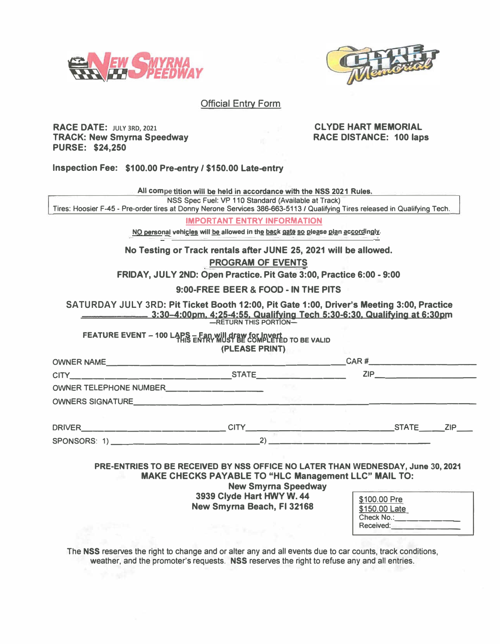



## **Official Entry Form**

### **RACE DATE: JULY 3RD, 2021 TRACK: New Smyrna Speedway PURSE: \$24,250**

## **CL YOE HART MEMORIAL RACE DISTANCE: 100 laps**

**Inspection Fee: \$100.00 Pre-entry / \$150.00 Late-entry** 

|                                                                                                                             | All competition will be held in accordance with the NSS 2021 Rules.                                                                                                                                              |                            |  |                                                          |
|-----------------------------------------------------------------------------------------------------------------------------|------------------------------------------------------------------------------------------------------------------------------------------------------------------------------------------------------------------|----------------------------|--|----------------------------------------------------------|
|                                                                                                                             | NSS Spec Fuel: VP 110 Standard (Available at Track)                                                                                                                                                              |                            |  |                                                          |
| Tires: Hoosier F-45 - Pre-order tires at Donny Nerone Services 386-663-5113 / Qualifying Tires released in Qualifying Tech. |                                                                                                                                                                                                                  |                            |  |                                                          |
|                                                                                                                             | <b>IMPORTANT ENTRY INFORMATION</b>                                                                                                                                                                               |                            |  |                                                          |
|                                                                                                                             | NO personal vehicles will be allowed in the back gate so please plan accordingly.                                                                                                                                |                            |  |                                                          |
|                                                                                                                             | No Testing or Track rentals after JUNE 25, 2021 will be allowed.                                                                                                                                                 |                            |  |                                                          |
|                                                                                                                             | <b>PROGRAM OF EVENTS</b>                                                                                                                                                                                         |                            |  |                                                          |
|                                                                                                                             | FRIDAY. JULY 2ND: Open Practice. Pit Gate 3:00, Practice 6:00 - 9:00                                                                                                                                             |                            |  |                                                          |
|                                                                                                                             | 9:00-FREE BEER & FOOD - IN THE PITS                                                                                                                                                                              |                            |  |                                                          |
| SATURDAY JULY 3RD: Pit Ticket Booth 12:00, Pit Gate 1:00, Driver's Meeting 3:00, Practice                                   | <u>__ 3:30–4:00pm, 4;25-4:55, Qualifying Tech 5:30-6:30, Qualifying at 6:30pm</u><br>—RETURN THIS PORTION—                                                                                                       |                            |  |                                                          |
| FEATURE EVENT - 100 LAPS - Fan will draw for invert                                                                         | (PLEASE PRINT)                                                                                                                                                                                                   |                            |  |                                                          |
|                                                                                                                             |                                                                                                                                                                                                                  |                            |  |                                                          |
|                                                                                                                             |                                                                                                                                                                                                                  |                            |  |                                                          |
|                                                                                                                             |                                                                                                                                                                                                                  |                            |  |                                                          |
|                                                                                                                             |                                                                                                                                                                                                                  |                            |  |                                                          |
|                                                                                                                             |                                                                                                                                                                                                                  |                            |  |                                                          |
|                                                                                                                             |                                                                                                                                                                                                                  |                            |  |                                                          |
|                                                                                                                             |                                                                                                                                                                                                                  |                            |  |                                                          |
|                                                                                                                             | PRE-ENTRIES TO BE RECEIVED BY NSS OFFICE NO LATER THAN WEDNESDAY, June 30, 2021<br><b>MAKE CHECKS PAYABLE TO "HLC Management LLC" MAIL TO:</b><br>3939 Clyde Hart HWY W. 44<br><b>New Smyrna Beach, FI 32168</b> | <b>New Smyrna Speedway</b> |  |                                                          |
|                                                                                                                             |                                                                                                                                                                                                                  |                            |  | \$100.00 Pre<br>\$150.00 Late<br>Check No.:<br>Received: |

**The NSS reserves the right to change and or alter any and all events due to car counts, track conditions, weather, and the promoter's requests. NSS reserves the right to refuse any and all entries.**